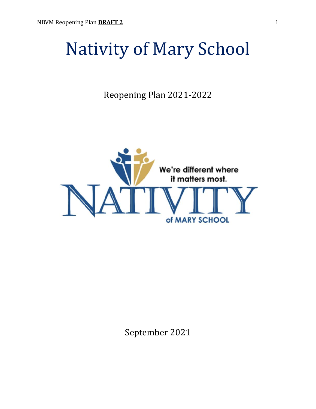# Nativity of Mary School

Reopening Plan 2021-2022



September 2021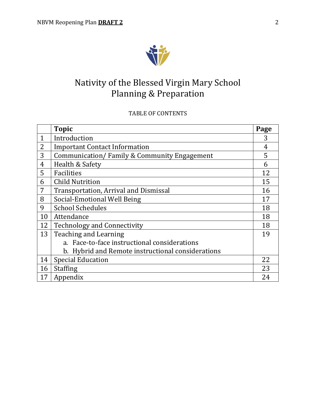

# Nativity of the Blessed Virgin Mary School Planning & Preparation

# TABLE OF CONTENTS

|              | <b>Topic</b>                                      | Page |
|--------------|---------------------------------------------------|------|
| $\mathbf{1}$ | Introduction                                      | 3    |
| 2            | <b>Important Contact Information</b>              | 4    |
| 3            | Communication/Family & Community Engagement       | 5    |
| 4            | Health & Safety                                   | 6    |
| 5            | Facilities                                        | 12   |
| 6            | <b>Child Nutrition</b>                            | 15   |
| 7            | Transportation, Arrival and Dismissal             | 16   |
| 8            | Social-Emotional Well Being                       | 17   |
| 9            | <b>School Schedules</b>                           | 18   |
| 10           | Attendance                                        | 18   |
| 12           | <b>Technology and Connectivity</b>                | 18   |
| 13           | Teaching and Learning                             | 19   |
|              | a. Face-to-face instructional considerations      |      |
|              | b. Hybrid and Remote instructional considerations |      |
| 14           | <b>Special Education</b>                          | 22   |
| 16           | <b>Staffing</b>                                   | 23   |
| 17           | Appendix                                          | 24   |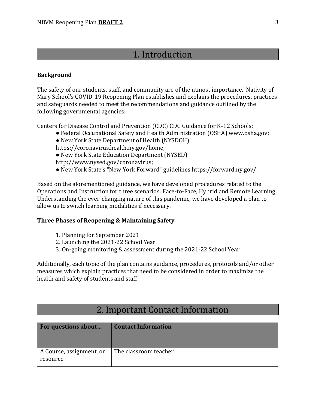# 1. Introduction

#### **Background**

The safety of our students, staff, and community are of the utmost importance. Nativity of Mary School's COVID-19 Reopening Plan establishes and explains the procedures, practices and safeguards needed to meet the recommendations and guidance outlined by the following governmental agencies:

Centers for Disease Control and Prevention (CDC) CDC Guidance for K-12 Schools;

- Federal Occupational Safety and Health Administration (OSHA) www.osha.gov;
- New York State Department of Health (NYSDOH)
- https://coronavirus.health.ny.gov/home;
- New York State Education Department (NYSED)
- http://www.nysed.gov/coronavirus;
- New York State's "New York Forward" guidelines https://forward.ny.gov/.

Based on the aforementioned guidance, we have developed procedures related to the Operations and Instruction for three scenarios: Face-to-Face, Hybrid and Remote Learning. Understanding the ever-changing nature of this pandemic, we have developed a plan to allow us to switch learning modalities if necessary.

#### **Three Phases of Reopening & Maintaining Safety**

- 1. Planning for September 2021
- 2. Launching the 2021-22 School Year
- 3. On-going monitoring & assessment during the 2021-22 School Year

Additionally, each topic of the plan contains guidance, procedures, protocols and/or other measures which explain practices that need to be considered in order to maximize the health and safety of students and staff

# 2. Important Contact Information

| <b>For questions about</b>           | <b>Contact Information</b> |
|--------------------------------------|----------------------------|
| A Course, assignment, or<br>resource | The classroom teacher      |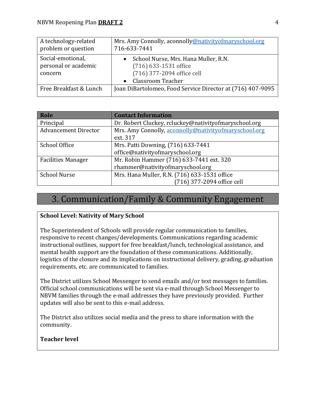| A technology-related<br>problem or question          | Mrs. Amy Connolly, aconnolly @nativity of maryschool.org<br>716-633-7441                                                      |
|------------------------------------------------------|-------------------------------------------------------------------------------------------------------------------------------|
| Social-emotional,<br>personal or academic<br>concern | School Nurse, Mrs. Hana Muller, R.N.<br>(716) 633-1531 office<br>(716) 377-2094 office cell<br>Classroom Teacher<br>$\bullet$ |
| Free Breakfast & Lunch                               | Joan DiBartolomeo, Food Service Director at (716) 407-9095                                                                    |

| Role                        | <b>Contact Information</b>                            |
|-----------------------------|-------------------------------------------------------|
| Principal                   | Dr. Robert Cluckey, rcluckey@nativityofmaryschool.org |
| <b>Advancement Director</b> | Mrs. Amy Connolly, aconnolly@nativityofmaryschool.org |
|                             | ext. 317                                              |
| School Office               | Mrs. Patti Downing, (716) 633-7441                    |
|                             | office@nativityofmaryschool.org                       |
| <b>Facilities Manager</b>   | Mr. Robin Hammer (716) 633-7441 ext. 320              |
|                             | rhammer@nativityofmaryschool.org                      |
| <b>School Nurse</b>         | Mrs. Hana Muller, R.N. (716) 633-1531 office          |
|                             | (716) 377-2094 office cell                            |

# 3. Communication/Family & Community Engagement

# **School Level: Nativity of Mary School**

The Superintendent of Schools will provide regular communication to families, responsive to recent changes/developments. Communications regarding academic instructional outlines, support for free breakfast/lunch, technological assistance, and mental health support are the foundation of these communications. Additionally, logistics of the closure and its implications on instructional delivery, grading, graduation requirements, etc. are communicated to families.

The District utilizes School Messenger to send emails and/or text messages to families. Official school communications will be sent via e-mail through School Messenger to NBVM families through the e-mail addresses they have previously provided. Further updates will also be sent to this e-mail address.

The District also utilizes social media and the press to share information with the community.

## **Teacher level**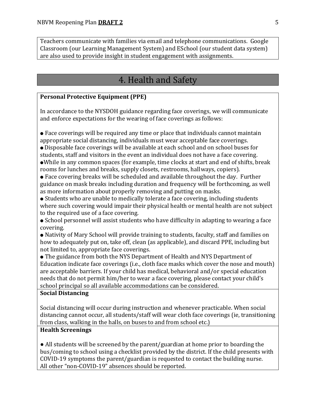Teachers communicate with families via email and telephone communications. Google Classroom (our Learning Management System) and ESchool (our student data system) are also used to provide insight in student engagement with assignments.

# 4. Health and Safety

#### **Personal Protective Equipment (PPE)**

In accordance to the NYSDOH guidance regarding face coverings, we will communicate and enforce expectations for the wearing of face coverings as follows:

● Face coverings will be required any time or place that individuals cannot maintain appropriate social distancing, individuals must wear acceptable face coverings.

● Disposable face coverings will be available at each school and on school buses for students, staff and visitors in the event an individual does not have a face covering. ●While in any common spaces (for example, time clocks at start and end of shifts, break rooms for lunches and breaks, supply closets, restrooms, hallways, copiers).

● Face covering breaks will be scheduled and available throughout the day. Further guidance on mask breaks including duration and frequency will be forthcoming, as well as more information about properly removing and putting on masks.

● Students who are unable to medically tolerate a face covering, including students where such covering would impair their physical health or mental health are not subject to the required use of a face covering.

● School personnel will assist students who have difficulty in adapting to wearing a face covering.

● Nativity of Mary School will provide training to students, faculty, staff and families on how to adequately put on, take off, clean (as applicable), and discard PPE, including but not limited to, appropriate face coverings.

• The guidance from both the NYS Department of Health and NYS Department of Education indicate face coverings (i.e., cloth face masks which cover the nose and mouth) are acceptable barriers. If your child has medical, behavioral and/or special education needs that do not permit him/her to wear a face covering, please contact your child's school principal so all available accommodations can be considered.

#### **Social Distancing**

Social distancing will occur during instruction and whenever practicable. When social distancing cannot occur, all students/staff will wear cloth face coverings (ie, transitioning from class, walking in the halls, on buses to and from school etc.)

#### **Health Screenings**

● All students will be screened by the parent/guardian at home prior to boarding the bus/coming to school using a checklist provided by the district. If the child presents with COVID-19 symptoms the parent/guardian is requested to contact the building nurse. All other "non-COVID-19" absences should be reported.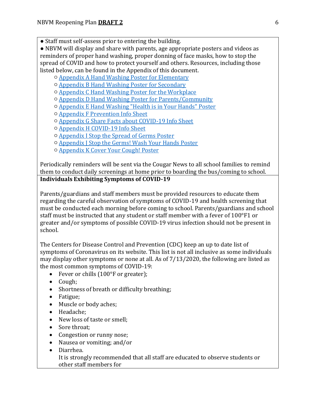● Staff must self-assess prior to entering the building.

● NBVM will display and share with parents, age appropriate posters and videos as reminders of proper hand washing, proper donning of face masks, how to stop the spread of COVID and how to protect yourself and others. Resources, including those listed below, can be found in the Appendix of this document.

- [Appendix A Hand Washing Poster for Elementary](https://drive.google.com/file/d/1xPPQvhL0TcbJDXTefNR13fnasLiWb3qc/view)
- [Appendix B Hand Washing Poster for Secondary](https://drive.google.com/file/d/1kWSYIRr7qmj2y3AgcRJAKDaQ7_Iq8v6A/view)
- [Appendix C Hand Washing Poster for the Workplace](https://drive.google.com/file/d/14GMF_OgoICOI2xcgs2FP1MFQGHa3LT47/view)
- Appendix D Hand Washing [Poster for Parents/Community](https://drive.google.com/file/d/1KNwVBvC7mDgXNJFJ7YY_00Hs81hp5LeJ/view)
- [Appendix E Hand Washing "Health is in Your Hands" Poster](https://drive.google.com/file/d/17zfZsOBTkUGPfbxDeIezF8wegQ7Jg2KQ/view)
- [Appendix F Prevention Info Sheet](https://drive.google.com/file/d/1_DL30teBHUEEncRQp2nxEhig__aRJ5fV/view)
- [Appendix G Share Facts about COVID-19 Info Sheet](https://drive.google.com/file/d/1RWi__1z1PSX5ljeDHrzTFy1z06pkncjv/view)
- [Appendix H COVID-19 Info Sheet](https://drive.google.com/file/d/1QrGt6ViiHbFCr6dN4MIffbm9F22pJudE/view)
- [Appendix I Stop the Spread of Germs Poster](https://drive.google.com/file/d/1WIdp_YA3R1jNWkOyzJB2HHvx6MK9yI-R/view)
- [Appendix J Stop the Germs! Wash Your Hands Poster](https://drive.google.com/file/d/1ppj722X2-YjPw0gA-jJairTeZbEVQXp1/view)
- [Appendix K Cover Your Cough! Poster](https://drive.google.com/file/d/18C05BUen3L5vYaSlqvB3SOh9OOhsen-H/view)

Periodically reminders will be sent via the Cougar News to all school families to remind them to conduct daily screenings at home prior to boarding the bus/coming to school. **Individuals Exhibiting Symptoms of COVID-19**

Parents/guardians and staff members must be provided resources to educate them regarding the careful observation of symptoms of COVID-19 and health screening that must be conducted each morning before coming to school. Parents/guardians and school staff must be instructed that any student or staff member with a fever of 100°F1 or greater and/or symptoms of possible COVID-19 virus infection should not be present in school.

The Centers for Disease Control and Prevention (CDC) keep an up to date list of symptoms of Coronavirus on its website. This list is not all inclusive as some individuals may display other symptoms or none at all. As of 7/13/2020, the following are listed as the most common symptoms of COVID-19:

- Fever or chills (100°F or greater);
- Cough;
- Shortness of breath or difficulty breathing;
- Fatigue;
- Muscle or body aches;
- Headache;
- New loss of taste or smell;
- Sore throat:
- Congestion or runny nose;
- Nausea or vomiting; and/or
- Diarrhea. It is strongly recommended that all staff are educated to observe students or other staff members for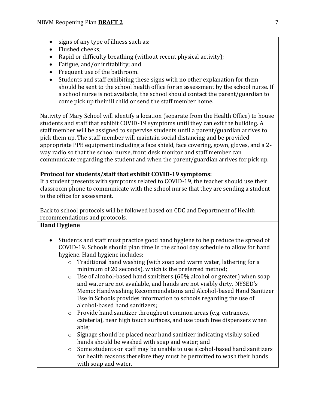- signs of any type of illness such as:
- Flushed cheeks:
- Rapid or difficulty breathing (without recent physical activity);
- Fatigue, and/or irritability; and
- Frequent use of the bathroom.
- Students and staff exhibiting these signs with no other explanation for them should be sent to the school health office for an assessment by the school nurse. If a school nurse is not available, the school should contact the parent/guardian to come pick up their ill child or send the staff member home.

Nativity of Mary School will identify a location (separate from the Health Office) to house students and staff that exhibit COVID-19 symptoms until they can exit the building. A staff member will be assigned to supervise students until a parent/guardian arrives to pick them up. The staff member will maintain social distancing and be provided appropriate PPE equipment including a face shield, face covering, gown, gloves, and a 2 way radio so that the school nurse, front desk monitor and staff member can communicate regarding the student and when the parent/guardian arrives for pick up.

### **Protocol for students/staff that exhibit COVID-19 symptoms:**

If a student presents with symptoms related to COVID-19, the teacher should use their classroom phone to communicate with the school nurse that they are sending a student to the office for assessment.

Back to school protocols will be followed based on CDC and Department of Health recommendations and protocols.

### **Hand Hygiene**

- Students and staff must practice good hand hygiene to help reduce the spread of COVID-19. Schools should plan time in the school day schedule to allow for hand hygiene. Hand hygiene includes:
	- o Traditional hand washing (with soap and warm water, lathering for a minimum of 20 seconds), which is the preferred method;
	- o Use of alcohol-based hand sanitizers (60% alcohol or greater) when soap and water are not available, and hands are not visibly dirty. NYSED's Memo: Handwashing Recommendations and Alcohol-based Hand Sanitizer Use in Schools provides information to schools regarding the use of alcohol-based hand sanitizers;
	- o Provide hand sanitizer throughout common areas (e.g. entrances, cafeteria), near high touch surfaces, and use touch free dispensers when able;
	- o Signage should be placed near hand sanitizer indicating visibly soiled hands should be washed with soap and water; and
	- o Some students or staff may be unable to use alcohol-based hand sanitizers for health reasons therefore they must be permitted to wash their hands with soap and water.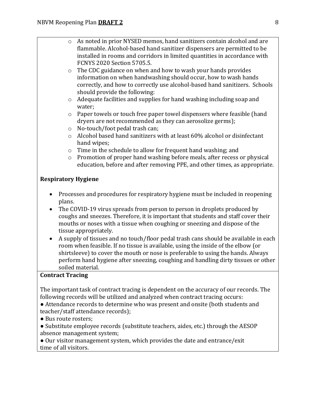- o As noted in prior NYSED memos, hand sanitizers contain alcohol and are flammable. Alcohol-based hand sanitizer dispensers are permitted to be installed in rooms and corridors in limited quantities in accordance with FCNYS 2020 Section 5705.5.
- o The CDC guidance on when and how to wash your hands provides information on when handwashing should occur, how to wash hands correctly, and how to correctly use alcohol-based hand sanitizers. Schools should provide the following:
- o Adequate facilities and supplies for hand washing including soap and water;
- o Paper towels or touch free paper towel dispensers where feasible (hand dryers are not recommended as they can aerosolize germs);
- o No-touch/foot pedal trash can;
- o Alcohol based hand sanitizers with at least 60% alcohol or disinfectant hand wipes;
- o Time in the schedule to allow for frequent hand washing; and
- o Promotion of proper hand washing before meals, after recess or physical education, before and after removing PPE, and other times, as appropriate.

### **Respiratory Hygiene**

- Processes and procedures for respiratory hygiene must be included in reopening plans.
- The COVID-19 virus spreads from person to person in droplets produced by coughs and sneezes. Therefore, it is important that students and staff cover their mouths or noses with a tissue when coughing or sneezing and dispose of the tissue appropriately.
- A supply of tissues and no touch/floor pedal trash cans should be available in each room when feasible. If no tissue is available, using the inside of the elbow (or shirtsleeve) to cover the mouth or nose is preferable to using the hands. Always perform hand hygiene after sneezing, coughing and handling dirty tissues or other soiled material.

#### **Contract Tracing**

The important task of contract tracing is dependent on the accuracy of our records. The following records will be utilized and analyzed when contract tracing occurs:

● Attendance records to determine who was present and onsite (both students and teacher/staff attendance records);

● Bus route rosters;

● Substitute employee records (substitute teachers, aides, etc.) through the AESOP absence management system;

● Our visitor management system, which provides the date and entrance/exit time of all visitors.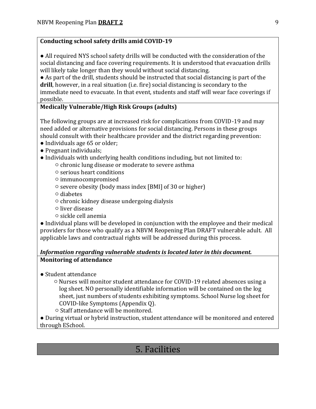# **Conducting school safety drills amid COVID-19**

• All required NYS school safety drills will be conducted with the consideration of the social distancing and face covering requirements. It is understood that evacuation drills will likely take longer than they would without social distancing.

● As part of the drill, students should be instructed that social distancing is part of the **drill**, however, in a real situation (i.e. fire) social distancing is secondary to the immediate need to evacuate. In that event, students and staff will wear face coverings if possible.

### **Medically Vulnerable/High Risk Groups (adults)**

The following groups are at increased risk for complications from COVID-19 and may need added or alternative provisions for social distancing. Persons in these groups should consult with their healthcare provider and the district regarding prevention:

- Individuals age 65 or older;
- Pregnant individuals;
- Individuals with underlying health conditions including, but not limited to:
	- chronic lung disease or moderate to severe asthma
	- serious heart conditions
	- immunocompromised
	- severe obesity (body mass index [BMI] of 30 or higher)
	- diabetes
	- chronic kidney disease undergoing dialysis
	- liver disease
	- sickle cell anemia

● Individual plans will be developed in conjunction with the employee and their medical providers for those who qualify as a NBVM Reopening Plan DRAFT vulnerable adult. All applicable laws and contractual rights will be addressed during this process.

### *Information regarding vulnerable students is located later in this document.* **Monitoring of attendance**

- Student attendance
	- Nurses will monitor student attendance for COVID-19 related absences using a log sheet. NO personally identifiable information will be contained on the log sheet, just numbers of students exhibiting symptoms. School Nurse log sheet for COVID-like Symptoms (Appendix Q).
	- Staff attendance will be monitored.

● During virtual or hybrid instruction, student attendance will be monitored and entered through ESchool.

# 5. Facilities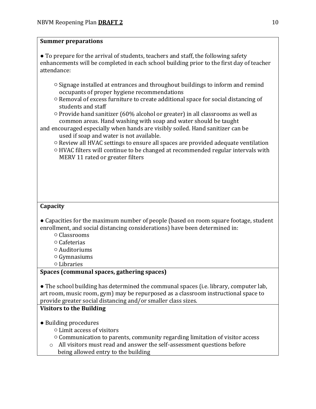### **Summer preparations**

● To prepare for the arrival of students, teachers and staff, the following safety enhancements will be completed in each school building prior to the first day of teacher attendance:

- Signage installed at entrances and throughout buildings to inform and remind occupants of proper hygiene recommendations
- Removal of excess furniture to create additional space for social distancing of students and staff
- Provide hand sanitizer (60% alcohol or greater) in all classrooms as well as common areas. Hand washing with soap and water should be taught
- and encouraged especially when hands are visibly soiled. Hand sanitizer can be used if soap and water is not available.
	- Review all HVAC settings to ensure all spaces are provided adequate ventilation
	- HVAC filters will continue to be changed at recommended regular intervals with MERV 11 rated or greater filters

# **Capacity**

● Capacities for the maximum number of people (based on room square footage, student enrollment, and social distancing considerations) have been determined in:

- Classrooms
- Cafeterias
- Auditoriums
- Gymnasiums
- Libraries

### **Spaces (communal spaces, gathering spaces)**

● The school building has determined the communal spaces (i.e. library, computer lab, art room, music room, gym) may be repurposed as a classroom instructional space to provide greater social distancing and/or smaller class sizes.

# **Visitors to the Building**

- Building procedures
	- Limit access of visitors
	- Communication to parents, community regarding limitation of visitor access
	- o All visitors must read and answer the self-assessment questions before being allowed entry to the building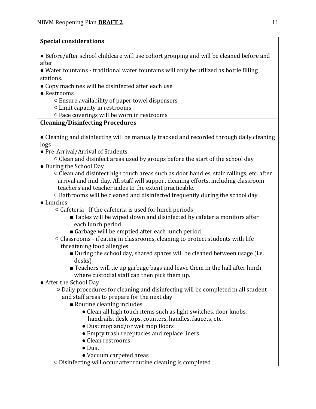# **Special considerations**

● Before/after school childcare will use cohort grouping and will be cleaned before and after

● Water fountains - traditional water fountains will only be utilized as bottle filling stations.

- Copy machines will be disinfected after each use
- Restrooms
	- Ensure availability of paper towel dispensers
	- Limit capacity in restrooms
	- Face coverings will be worn in restrooms

# **Cleaning/Disinfecting Procedures**

- Cleaning and disinfecting will be manually tracked and recorded through daily cleaning logs
- Pre-Arrival/Arrival of Students
	- Clean and disinfect areas used by groups before the start of the school day
- During the School Day
	- Clean and disinfect high touch areas such as door handles, stair railings, etc. after arrival and mid-day. All staff will support cleaning efforts, including classroom teachers and teacher aides to the extent practicable.
	- Bathrooms will be cleaned and disinfected frequently during the school day
- Lunches
	- Cafeteria If the cafeteria is used for lunch periods
		- Tables will be wiped down and disinfected by cafeteria monitors after each lunch period
		- Garbage will be emptied after each lunch period
	- Classrooms if eating in classrooms, cleaning to protect students with life threatening food allergies
		- During the school day, shared spaces will be cleaned between usage (i.e. desks)
		- Teachers will tie up garbage bags and leave them in the hall after lunch where custodial staff can then pick them up.
- After the School Day
	- Daily procedures for cleaning and disinfecting will be completed in all student and staff areas to prepare for the next day
		- Routine cleaning includes:
			- Clean all high touch items such as light switches, door knobs, handrails, desk tops, counters, handles, faucets, etc.
			- Dust mop and/or wet mop floors
			- Empty trash receptacles and replace liners
			- Clean restrooms
			- Dust
			- Vacuum carpeted areas
	- Disinfecting will occur after routine cleaning is completed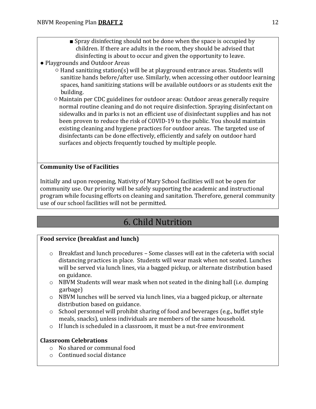- Spray disinfecting should not be done when the space is occupied by children. If there are adults in the room, they should be advised that disinfecting is about to occur and given the opportunity to leave.
- Playgrounds and Outdoor Areas
	- Hand sanitizing station(s) will be at playground entrance areas. Students will sanitize hands before/after use. Similarly, when accessing other outdoor learning spaces, hand sanitizing stations will be available outdoors or as students exit the building.
	- Maintain per CDC guidelines for outdoor areas: Outdoor areas generally require normal routine cleaning and do not require disinfection. Spraying disinfectant on sidewalks and in parks is not an efficient use of disinfectant supplies and has not been proven to reduce the risk of COVID-19 to the public. You should maintain existing cleaning and hygiene practices for outdoor areas. The targeted use of disinfectants can be done effectively, efficiently and safely on outdoor hard surfaces and objects frequently touched by multiple people.

# **Community Use of Facilities**

Initially and upon reopening, Nativity of Mary School facilities will not be open for community use. Our priority will be safely supporting the academic and instructional program while focusing efforts on cleaning and sanitation. Therefore, general community use of our school facilities will not be permitted.

# 6. Child Nutrition

### **Food service (breakfast and lunch)**

- $\circ$  Breakfast and lunch procedures Some classes will eat in the cafeteria with social distancing practices in place. Students will wear mask when not seated. Lunches will be served via lunch lines, via a bagged pickup, or alternate distribution based on guidance.
- $\circ$  NBVM Students will wear mask when not seated in the dining hall (i.e. dumping garbage)
- $\circ$  NBVM lunches will be served via lunch lines, via a bagged pickup, or alternate distribution based on guidance.
- o School personnel will prohibit sharing of food and beverages (e.g., buffet style meals, snacks), unless individuals are members of the same household.
- $\circ$  If lunch is scheduled in a classroom, it must be a nut-free environment

### **Classroom Celebrations**

- o No shared or communal food
- o Continued social distance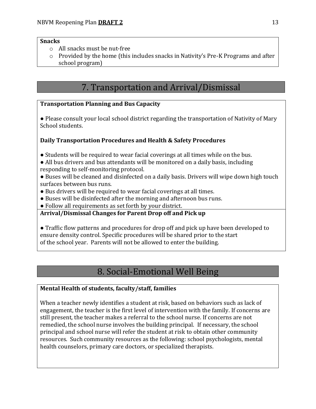#### **Snacks**

- o All snacks must be nut-free
- $\circ$  Provided by the home (this includes snacks in Nativity's Pre-K Programs and after school program)

# 7. Transportation and Arrival/Dismissal

# **Transportation Planning and Bus Capacity**

● Please consult your local school district regarding the transportation of Nativity of Mary School students.

# **Daily Transportation Procedures and Health & Safety Procedures**

- Students will be required to wear facial coverings at all times while on the bus.
- All bus drivers and bus attendants will be monitored on a daily basis, including responding to self-monitoring protocol.
- Buses will be cleaned and disinfected on a daily basis. Drivers will wipe down high touch surfaces between bus runs.
- Bus drivers will be required to wear facial coverings at all times.
- Buses will be disinfected after the morning and afternoon bus runs.
- Follow all requirements as set forth by your district.

# **Arrival/Dismissal Changes for Parent Drop off and Pick up**

● Traffic flow patterns and procedures for drop off and pick up have been developed to ensure density control. Specific procedures will be shared prior to the start of the school year. Parents will not be allowed to enter the building.

# 8. Social-Emotional Well Being

# **Mental Health of students, faculty/staff, families**

When a teacher newly identifies a student at risk, based on behaviors such as lack of engagement, the teacher is the first level of intervention with the family. If concerns are still present, the teacher makes a referral to the school nurse. If concerns are not remedied, the school nurse involves the building principal. If necessary, the school principal and school nurse will refer the student at risk to obtain other community resources. Such community resources as the following: school psychologists, mental health counselors, primary care doctors, or specialized therapists.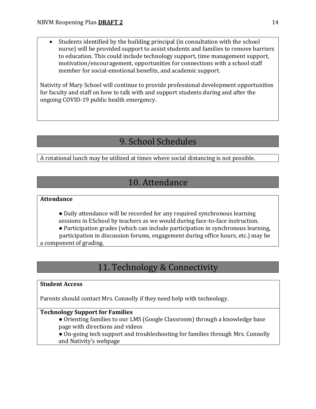• Students identified by the building principal (in consultation with the school nurse) will be provided support to assist students and families to remove barriers to education. This could include technology support, time management support, motivation/encouragement, opportunities for connections with a school staff member for social-emotional benefits, and academic support.

Nativity of Mary School will continue to provide professional development opportunities for faculty and staff on how to talk with and support students during and after the ongoing COVID-19 public health emergency.

# 9. School Schedules

A rotational lunch may be utilized at times where social distancing is not possible.

# 10. Attendance

### **Attendance**

● Daily attendance will be recorded for any required synchronous learning sessions in ESchool by teachers as we would during face-to-face instruction.

● Participation grades (which can include participation in synchronous learning, participation in discussion forums, engagement during office hours, etc.) may be a component of grading.

# 11. Technology & Connectivity

### **Student Access**

Parents should contact Mrs. Connolly if they need help with technology.

### **Technology Support for Families**

- Orienting families to our LMS (Google Classroom) through a knowledge base page with directions and videos
- On-going tech support and troubleshooting for families through Mrs. Connolly and Nativity's webpage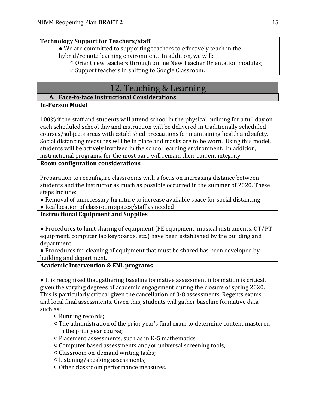# **Technology Support for Teachers/staff**

● We are committed to supporting teachers to effectively teach in the hybrid/remote learning environment. In addition, we will:

- Orient new teachers through online New Teacher Orientation modules;
	- Support teachers in shifting to Google Classroom.

# 12. Teaching & Learning

# **A. Face-to-face Instructional Considerations**

### **In-Person Model**

100% if the staff and students will attend school in the physical building for a full day on each scheduled school day and instruction will be delivered in traditionally scheduled courses/subjects areas with established precautions for maintaining health and safety. Social distancing measures will be in place and masks are to be worn. Using this model, students will be actively involved in the school learning environment. In addition, instructional programs, for the most part, will remain their current integrity.

### **Room configuration considerations**

Preparation to reconfigure classrooms with a focus on increasing distance between students and the instructor as much as possible occurred in the summer of 2020. These steps include:

- Removal of unnecessary furniture to increase available space for social distancing
- Reallocation of classroom spaces/staff as needed

# **Instructional Equipment and Supplies**

● Procedures to limit sharing of equipment (PE equipment, musical instruments, OT/PT equipment, computer lab keyboards, etc.) have been established by the building and department.

● Procedures for cleaning of equipment that must be shared has been developed by building and department.

# **Academic Intervention & ENL programs**

● It is recognized that gathering baseline formative assessment information is critical, given the varying degrees of academic engagement during the closure of spring 2020. This is particularly critical given the cancellation of 3-8 assessments, Regents exams and local final assessments. Given this, students will gather baseline formative data such as:

○ Running records;

- The administration of the prior year's final exam to determine content mastered in the prior year course;
- Placement assessments, such as in K-5 mathematics;
- Computer based assessments and/or universal screening tools;
- Classroom on-demand writing tasks;
- Listening/speaking assessments;
- Other classroom performance measures.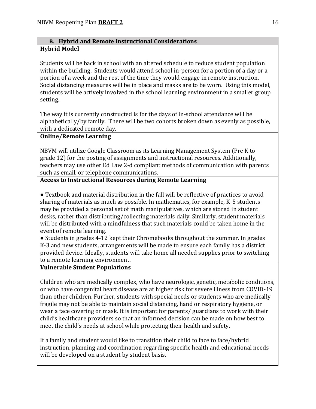#### **B. Hybrid and Remote Instructional Considerations Hybrid Model**

Students will be back in school with an altered schedule to reduce student population within the building. Students would attend school in-person for a portion of a day or a portion of a week and the rest of the time they would engage in remote instruction. Social distancing measures will be in place and masks are to be worn. Using this model, students will be actively involved in the school learning environment in a smaller group setting.

The way it is currently constructed is for the days of in-school attendance will be alphabetically/by family. There will be two cohorts broken down as evenly as possible, with a dedicated remote day.

#### **Online/Remote Learning**

NBVM will utilize Google Classroom as its Learning Management System (Pre K to grade 12) for the posting of assignments and instructional resources. Additionally, teachers may use other Ed Law 2-d compliant methods of communication with parents such as email, or telephone communications.

## **Access to Instructional Resources during Remote Learning**

● Textbook and material distribution in the fall will be reflective of practices to avoid sharing of materials as much as possible. In mathematics, for example, K-5 students may be provided a personal set of math manipulatives, which are stored in student desks, rather than distributing/collecting materials daily. Similarly, student materials will be distributed with a mindfulness that such materials could be taken home in the event of remote learning.

● Students in grades 4-12 kept their Chromebooks throughout the summer. In grades K-3 and new students, arrangements will be made to ensure each family has a district provided device. Ideally, students will take home all needed supplies prior to switching to a remote learning environment.

### **Vulnerable Student Populations**

Children who are medically complex, who have neurologic, genetic, metabolic conditions, or who have congenital heart disease are at higher risk for severe illness from COVID-19 than other children. Further, students with special needs or students who are medically fragile may not be able to maintain social distancing, hand or respiratory hygiene, or wear a face covering or mask. It is important for parents/ guardians to work with their child's healthcare providers so that an informed decision can be made on how best to meet the child's needs at school while protecting their health and safety.

If a family and student would like to transition their child to face to face/hybrid instruction, planning and coordination regarding specific health and educational needs will be developed on a student by student basis.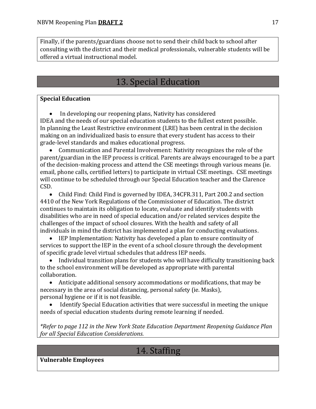Finally, if the parents/guardians choose not to send their child back to school after consulting with the district and their medical professionals, vulnerable students will be offered a virtual instructional model.

# 13. Special Education

# **Special Education**

• In developing our reopening plans, Nativity has considered IDEA and the needs of our special education students to the fullest extent possible. In planning the Least Restrictive environment (LRE) has been central in the decision making on an individualized basis to ensure that every student has access to their grade-level standards and makes educational progress.

• Communication and Parental Involvement: Nativity recognizes the role of the parent/guardian in the IEP process is critical. Parents are always encouraged to be a part of the decision-making process and attend the CSE meetings through various means (ie. email, phone calls, certified letters) to participate in virtual CSE meetings. CSE meetings will continue to be scheduled through our Special Education teacher and the Clarence CSD.

• Child Find: Child Find is governed by IDEA, 34CFR.311, Part 200.2 and section 4410 of the New York Regulations of the Commissioner of Education. The district continues to maintain its obligation to locate, evaluate and identify students with disabilities who are in need of special education and/or related services despite the challenges of the impact of school closures. With the health and safety of all individuals in mind the district has implemented a plan for conducting evaluations.

• IEP Implementation: Nativity has developed a plan to ensure continuity of services to support the IEP in the event of a school closure through the development of specific grade level virtual schedules that address IEP needs.

• Individual transition plans for students who will have difficulty transitioning back to the school environment will be developed as appropriate with parental collaboration.

• Anticipate additional sensory accommodations or modifications, that may be necessary in the area of social distancing, personal safety (ie. Masks), personal hygiene or if it is not feasible.

• Identify Special Education activities that were successful in meeting the unique needs of special education students during remote learning if needed.

*\*Refer to page 112 in the New York State Education Department Reopening Guidance Plan for all Special Education Considerations.*

# 14. Staffing

**Vulnerable Employees**